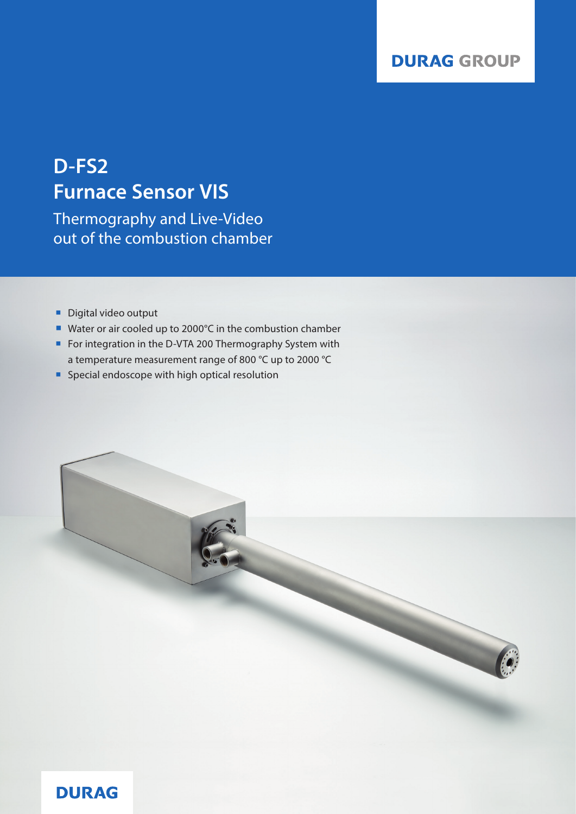# **D-FS2 Furnace Sensor VIS**

Thermography and Live-Video out of the combustion chamber

- Digital video output
- Water or air cooled up to 2000°C in the combustion chamber
- For integration in the D-VTA 200 Thermography System with a temperature measurement range of 800 °C up to 2000 °C
- **Special endoscope with high optical resolution**